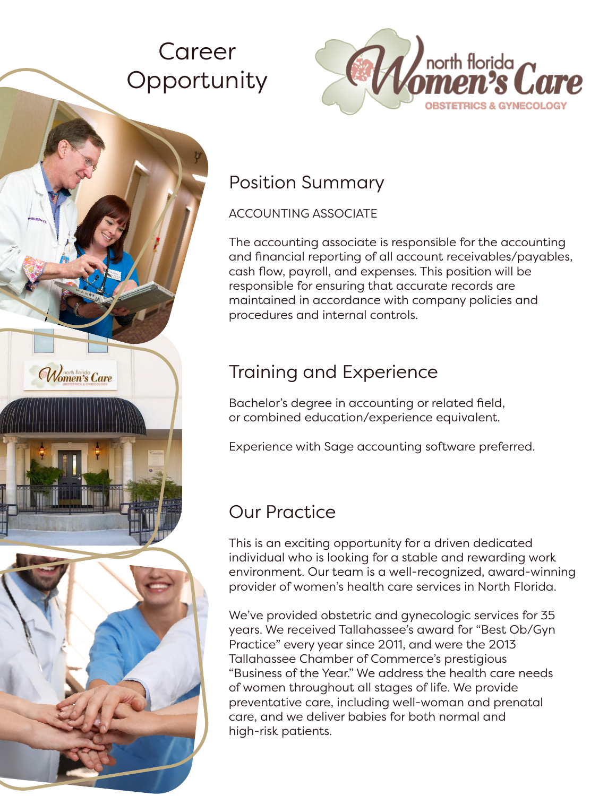# Career **Opportunity**

Women's Care



### Position Summary

#### ACCOUNTING ASSOCIATE

The accounting associate is responsible for the accounting and financial reporting of all account receivables/payables, cash flow, payroll, and expenses. This position will be responsible for ensuring that accurate records are maintained in accordance with company policies and procedures and internal controls.

## Training and Experience

Bachelor's degree in accounting or related field, or combined education/experience equivalent.

Experience with Sage accounting software preferred.

## Our Practice

This is an exciting opportunity for a driven dedicated individual who is looking for a stable and rewarding work environment. Our team is a well-recognized, award-winning provider of women's health care services in North Florida.

We've provided obstetric and gynecologic services for 35 years. We received Tallahassee's award for "Best Ob/Gyn Practice" every year since 2011, and were the 2013 Tallahassee Chamber of Commerce's prestigious "Business of the Year." We address the health care needs of women throughout all stages of life. We provide preventative care, including well-woman and prenatal care, and we deliver babies for both normal and high-risk patients.